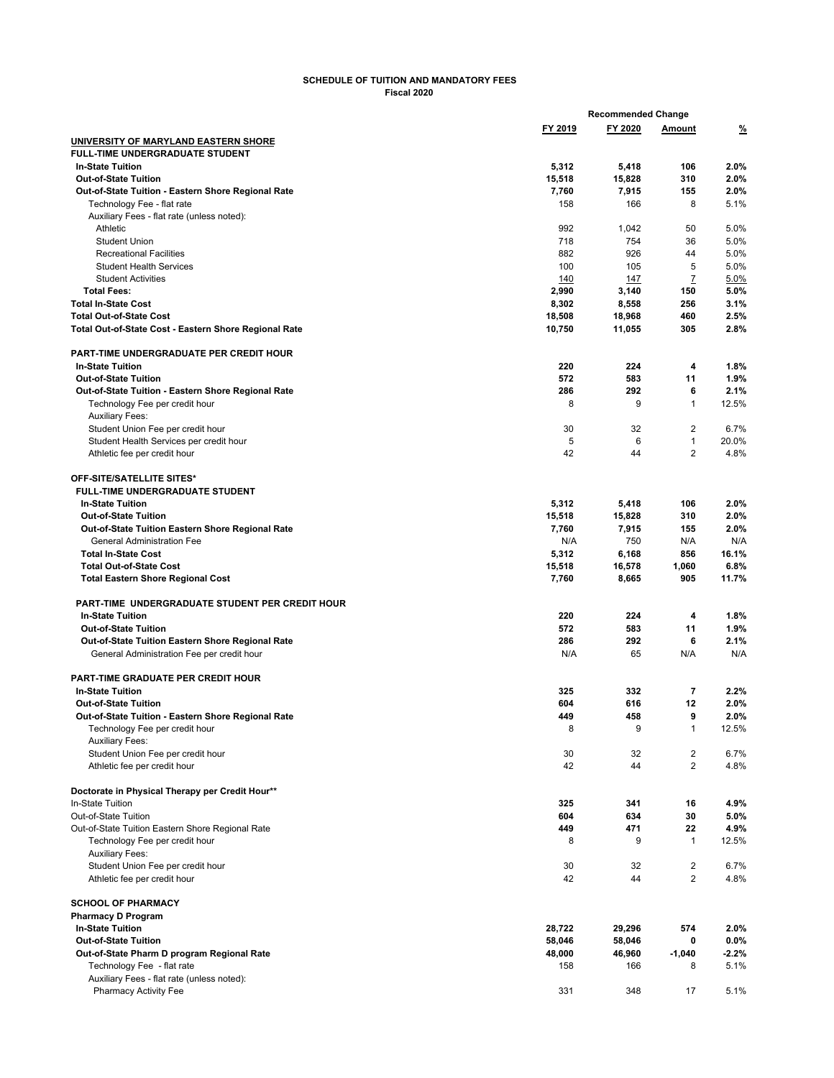## **SCHEDULE OF TUITION AND MANDATORY FEES Fiscal 2020**

|                                                                            |                 | <b>Recommended Change</b> |                                  |               |
|----------------------------------------------------------------------------|-----------------|---------------------------|----------------------------------|---------------|
|                                                                            | FY 2019         | FY 2020                   | Amount                           | <u>%</u>      |
| UNIVERSITY OF MARYLAND EASTERN SHORE                                       |                 |                           |                                  |               |
| <b>FULL-TIME UNDERGRADUATE STUDENT</b>                                     |                 |                           |                                  |               |
| <b>In-State Tuition</b>                                                    | 5,312           | 5,418                     | 106                              | 2.0%          |
| <b>Out-of-State Tuition</b>                                                | 15,518          | 15,828                    | 310                              | 2.0%          |
| Out-of-State Tuition - Eastern Shore Regional Rate                         | 7,760           | 7,915                     | 155                              | 2.0%          |
| Technology Fee - flat rate                                                 | 158             | 166                       | 8                                | 5.1%          |
| Auxiliary Fees - flat rate (unless noted):                                 |                 |                           |                                  |               |
| Athletic<br><b>Student Union</b>                                           | 992<br>718      | 1,042<br>754              | 50<br>36                         | 5.0%<br>5.0%  |
| <b>Recreational Facilities</b>                                             | 882             | 926                       | 44                               | 5.0%          |
| <b>Student Health Services</b>                                             | 100             | 105                       | 5                                | 5.0%          |
| <b>Student Activities</b>                                                  | 140             | 147                       | $\overline{I}$                   | 5.0%          |
| <b>Total Fees:</b>                                                         | 2,990           | 3,140                     | 150                              | 5.0%          |
| <b>Total In-State Cost</b>                                                 | 8,302           | 8,558                     | 256                              | 3.1%          |
| <b>Total Out-of-State Cost</b>                                             | 18,508          | 18,968                    | 460                              | 2.5%          |
| Total Out-of-State Cost - Eastern Shore Regional Rate                      | 10,750          | 11,055                    | 305                              | 2.8%          |
| PART-TIME UNDERGRADUATE PER CREDIT HOUR                                    |                 |                           |                                  |               |
| <b>In-State Tuition</b>                                                    | 220             | 224                       | 4                                | 1.8%          |
| <b>Out-of-State Tuition</b>                                                | 572             | 583                       | 11                               | 1.9%          |
| Out-of-State Tuition - Eastern Shore Regional Rate                         | 286             | 292                       | 6                                | 2.1%          |
| Technology Fee per credit hour                                             | 8               | 9                         | 1                                | 12.5%         |
| <b>Auxiliary Fees:</b>                                                     |                 |                           |                                  |               |
| Student Union Fee per credit hour                                          | 30              | 32                        | $\overline{2}$                   | 6.7%          |
| Student Health Services per credit hour                                    | 5               | 6                         | 1                                | 20.0%         |
| Athletic fee per credit hour                                               | 42              | 44                        | $\overline{2}$                   | 4.8%          |
| OFF-SITE/SATELLITE SITES*                                                  |                 |                           |                                  |               |
| <b>FULL-TIME UNDERGRADUATE STUDENT</b>                                     |                 |                           |                                  |               |
| <b>In-State Tuition</b>                                                    | 5,312           | 5,418                     | 106                              | 2.0%          |
| <b>Out-of-State Tuition</b>                                                | 15,518          | 15,828                    | 310                              | 2.0%          |
| Out-of-State Tuition Eastern Shore Regional Rate                           | 7,760           | 7,915                     | 155                              | 2.0%          |
| <b>General Administration Fee</b>                                          | N/A             | 750                       | N/A                              | N/A           |
| <b>Total In-State Cost</b>                                                 | 5,312           | 6,168                     | 856                              | 16.1%         |
| <b>Total Out-of-State Cost</b><br><b>Total Eastern Shore Regional Cost</b> | 15,518<br>7,760 | 16,578<br>8,665           | 1,060<br>905                     | 6.8%<br>11.7% |
|                                                                            |                 |                           |                                  |               |
| PART-TIME UNDERGRADUATE STUDENT PER CREDIT HOUR                            |                 |                           |                                  |               |
| <b>In-State Tuition</b>                                                    | 220             | 224                       | 4                                | 1.8%          |
| <b>Out-of-State Tuition</b>                                                | 572             | 583                       | 11                               | 1.9%          |
| Out-of-State Tuition Eastern Shore Regional Rate                           | 286             | 292<br>65                 | 6                                | 2.1%<br>N/A   |
| General Administration Fee per credit hour                                 | N/A             |                           | N/A                              |               |
| PART-TIME GRADUATE PER CREDIT HOUR                                         |                 |                           |                                  |               |
| <b>In-State Tuition</b>                                                    | 325             | 332                       | $\overline{\mathbf{r}}$          | 2.2%          |
| <b>Out-of-State Tuition</b>                                                | 604             | 616                       | 12                               | 2.0%          |
| Out-of-State Tuition - Eastern Shore Regional Rate                         | 449             | 458                       | 9                                | 2.0%          |
| Technology Fee per credit hour                                             | 8               | 9                         | 1                                | 12.5%         |
| <b>Auxiliary Fees:</b>                                                     |                 |                           |                                  |               |
| Student Union Fee per credit hour                                          | 30              | 32                        | $\overline{c}$                   | 6.7%          |
| Athletic fee per credit hour                                               | 42              | 44                        | $\overline{2}$                   | 4.8%          |
| Doctorate in Physical Therapy per Credit Hour**                            |                 |                           |                                  |               |
| In-State Tuition                                                           | 325             | 341                       | 16                               | 4.9%          |
| Out-of-State Tuition                                                       | 604             | 634                       | 30                               | 5.0%          |
| Out-of-State Tuition Eastern Shore Regional Rate                           | 449             | 471                       | 22                               | 4.9%          |
| Technology Fee per credit hour                                             | 8               | 9                         | $\mathbf{1}$                     | 12.5%         |
| <b>Auxiliary Fees:</b>                                                     |                 |                           |                                  |               |
| Student Union Fee per credit hour<br>Athletic fee per credit hour          | 30<br>42        | 32<br>44                  | $\overline{c}$<br>$\overline{2}$ | 6.7%<br>4.8%  |
|                                                                            |                 |                           |                                  |               |
| <b>SCHOOL OF PHARMACY</b><br><b>Pharmacy D Program</b>                     |                 |                           |                                  |               |
| <b>In-State Tuition</b>                                                    | 28,722          | 29,296                    | 574                              | 2.0%          |
| <b>Out-of-State Tuition</b>                                                | 58,046          | 58,046                    | 0                                | $0.0\%$       |
| Out-of-State Pharm D program Regional Rate                                 | 48,000          | 46,960                    | $-1,040$                         | $-2.2%$       |
| Technology Fee - flat rate                                                 | 158             | 166                       | 8                                | 5.1%          |
| Auxiliary Fees - flat rate (unless noted):                                 |                 |                           |                                  |               |
| <b>Pharmacy Activity Fee</b>                                               | 331             | 348                       | 17                               | 5.1%          |